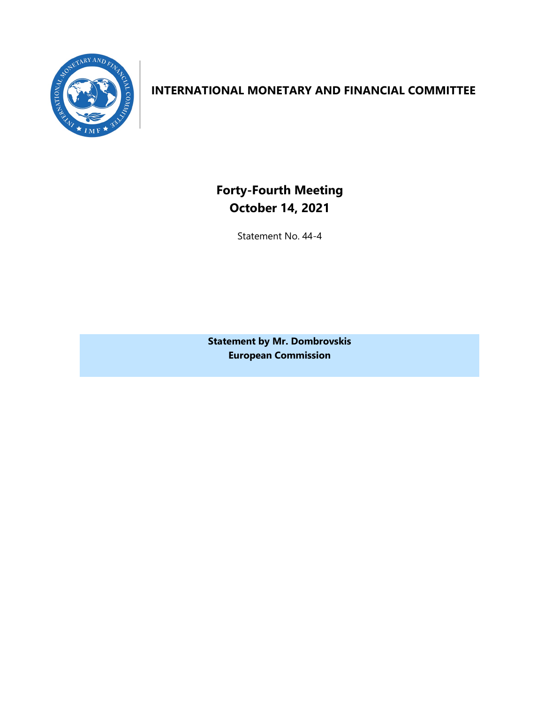

## **INTERNATIONAL MONETARY AND FINANCIAL COMMITTEE**

**Forty-Fourth Meeting October 14, 2021**

Statement No. 44-4

**Statement by Mr. Dombrovskis European Commission**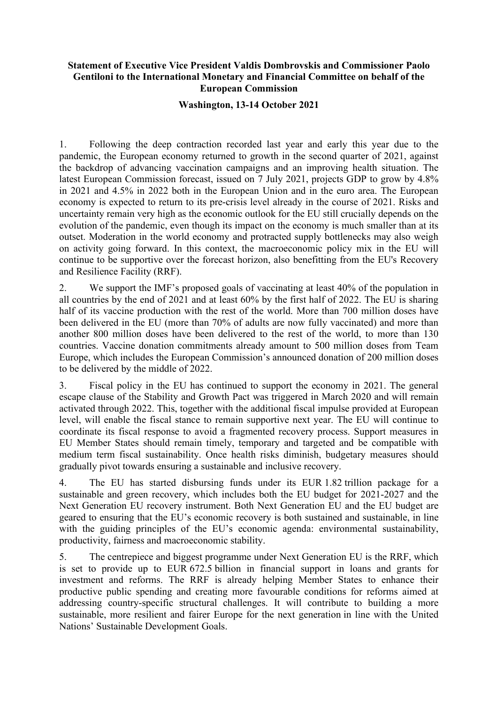## **Statement of Executive Vice President Valdis Dombrovskis and Commissioner Paolo Gentiloni to the International Monetary and Financial Committee on behalf of the European Commission**

## **Washington, 13-14 October 2021**

1. Following the deep contraction recorded last year and early this year due to the pandemic, the European economy returned to growth in the second quarter of 2021, against the backdrop of advancing vaccination campaigns and an improving health situation. The latest European Commission forecast, issued on 7 July 2021, projects GDP to grow by 4.8% in 2021 and 4.5% in 2022 both in the European Union and in the euro area. The European economy is expected to return to its pre-crisis level already in the course of 2021. Risks and uncertainty remain very high as the economic outlook for the EU still crucially depends on the evolution of the pandemic, even though its impact on the economy is much smaller than at its outset. Moderation in the world economy and protracted supply bottlenecks may also weigh on activity going forward. In this context, the macroeconomic policy mix in the EU will continue to be supportive over the forecast horizon, also benefitting from the EU's Recovery and Resilience Facility (RRF).

2. We support the IMF's proposed goals of vaccinating at least 40% of the population in all countries by the end of 2021 and at least 60% by the first half of 2022. The EU is sharing half of its vaccine production with the rest of the world. More than 700 million doses have been delivered in the EU (more than 70% of adults are now fully vaccinated) and more than another 800 million doses have been delivered to the rest of the world, to more than 130 countries. Vaccine donation commitments already amount to 500 million doses from Team Europe, which includes the European Commission's announced donation of 200 million doses to be delivered by the middle of 2022.

3. Fiscal policy in the EU has continued to support the economy in 2021. The general escape clause of the Stability and Growth Pact was triggered in March 2020 and will remain activated through 2022. This, together with the additional fiscal impulse provided at European level, will enable the fiscal stance to remain supportive next year. The EU will continue to coordinate its fiscal response to avoid a fragmented recovery process. Support measures in EU Member States should remain timely, temporary and targeted and be compatible with medium term fiscal sustainability. Once health risks diminish, budgetary measures should gradually pivot towards ensuring a sustainable and inclusive recovery.

4. The EU has started disbursing funds under its EUR 1.82 trillion package for a sustainable and green recovery, which includes both the EU budget for 2021-2027 and the Next Generation EU recovery instrument. Both Next Generation EU and the EU budget are geared to ensuring that the EU's economic recovery is both sustained and sustainable, in line with the guiding principles of the EU's economic agenda: environmental sustainability, productivity, fairness and macroeconomic stability.

5. The centrepiece and biggest programme under Next Generation EU is the RRF, which is set to provide up to EUR 672.5 billion in financial support in loans and grants for investment and reforms. The RRF is already helping Member States to enhance their productive public spending and creating more favourable conditions for reforms aimed at addressing country-specific structural challenges. It will contribute to building a more sustainable, more resilient and fairer Europe for the next generation in line with the United Nations' Sustainable Development Goals.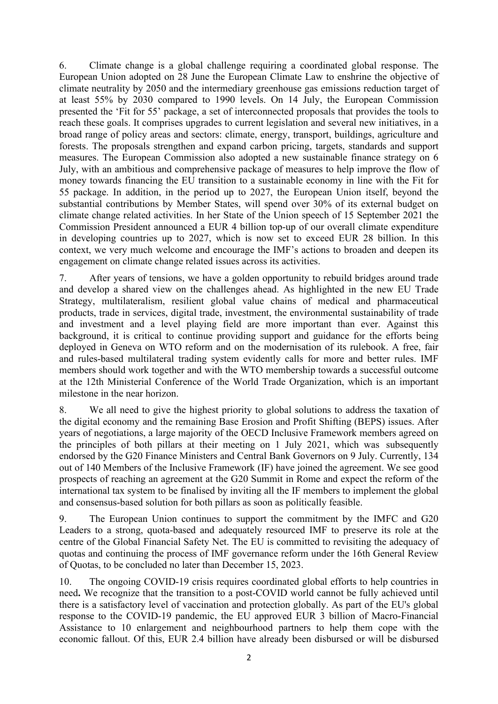6. Climate change is a global challenge requiring a coordinated global response. The European Union adopted on 28 June the European Climate Law to enshrine the objective of climate neutrality by 2050 and the intermediary greenhouse gas emissions reduction target of at least 55% by 2030 compared to 1990 levels. On 14 July, the European Commission presented the 'Fit for 55' package, a set of interconnected proposals that provides the tools to reach these goals. It comprises upgrades to current legislation and several new initiatives, in a broad range of policy areas and sectors: climate, energy, transport, buildings, agriculture and forests. The proposals strengthen and expand carbon pricing, targets, standards and support measures. The European Commission also adopted a new sustainable finance strategy on 6 July, with an ambitious and comprehensive package of measures to help improve the flow of money towards financing the EU transition to a sustainable economy in line with the Fit for 55 package. In addition, in the period up to 2027, the European Union itself, beyond the substantial contributions by Member States, will spend over 30% of its external budget on climate change related activities. In her State of the Union speech of 15 September 2021 the Commission President announced a EUR 4 billion top-up of our overall climate expenditure in developing countries up to 2027, which is now set to exceed EUR 28 billion. In this context, we very much welcome and encourage the IMF's actions to broaden and deepen its engagement on climate change related issues across its activities.

7. After years of tensions, we have a golden opportunity to rebuild bridges around trade and develop a shared view on the challenges ahead. As highlighted in the new EU Trade Strategy, multilateralism, resilient global value chains of medical and pharmaceutical products, trade in services, digital trade, investment, the environmental sustainability of trade and investment and a level playing field are more important than ever. Against this background, it is critical to continue providing support and guidance for the efforts being deployed in Geneva on WTO reform and on the modernisation of its rulebook. A free, fair and rules-based multilateral trading system evidently calls for more and better rules. IMF members should work together and with the WTO membership towards a successful outcome at the 12th Ministerial Conference of the World Trade Organization, which is an important milestone in the near horizon.

8. We all need to give the highest priority to global solutions to address the taxation of the digital economy and the remaining Base Erosion and Profit Shifting (BEPS) issues. After years of negotiations, a large majority of the OECD Inclusive Framework members agreed on the principles of both pillars at their meeting on 1 July 2021, which was subsequently endorsed by the G20 Finance Ministers and Central Bank Governors on 9 July. Currently, 134 out of 140 Members of the Inclusive Framework (IF) have joined the agreement. We see good prospects of reaching an agreement at the G20 Summit in Rome and expect the reform of the international tax system to be finalised by inviting all the IF members to implement the global and consensus-based solution for both pillars as soon as politically feasible.

9. The European Union continues to support the commitment by the IMFC and G20 Leaders to a strong, quota-based and adequately resourced IMF to preserve its role at the centre of the Global Financial Safety Net. The EU is committed to revisiting the adequacy of quotas and continuing the process of IMF governance reform under the 16th General Review of Quotas, to be concluded no later than December 15, 2023.

10. The ongoing COVID-19 crisis requires coordinated global efforts to help countries in need**.** We recognize that the transition to a post-COVID world cannot be fully achieved until there is a satisfactory level of vaccination and protection globally. As part of the EU's global response to the COVID-19 pandemic, the EU approved EUR 3 billion of Macro-Financial Assistance to 10 enlargement and neighbourhood partners to help them cope with the economic fallout. Of this, EUR 2.4 billion have already been disbursed or will be disbursed